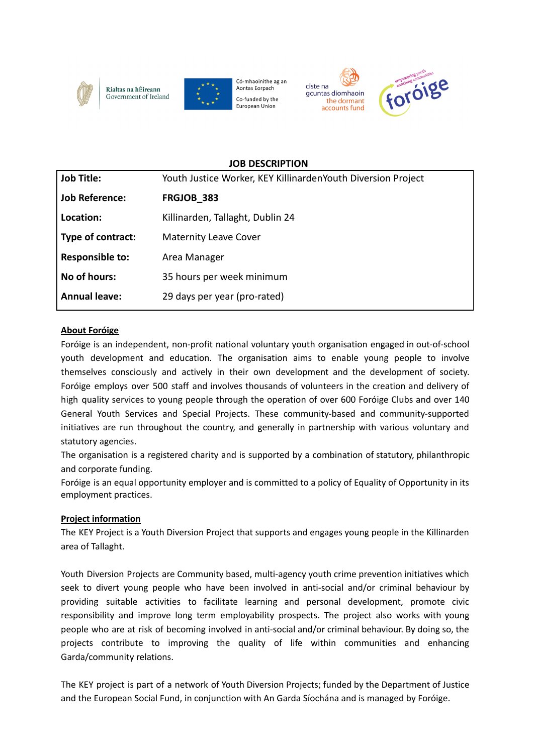

Rialtas na hÉireann Government of Ireland



Có-mhaoinithe ag an Aontas Eorpach Co-funded by the European Union





### **JOB DESCRIPTION**

| <b>Job Title:</b>      | Youth Justice Worker, KEY KillinardenYouth Diversion Project |
|------------------------|--------------------------------------------------------------|
| <b>Job Reference:</b>  | FRGJOB 383                                                   |
| Location:              | Killinarden, Tallaght, Dublin 24                             |
| Type of contract:      | <b>Maternity Leave Cover</b>                                 |
| <b>Responsible to:</b> | Area Manager                                                 |
| No of hours:           | 35 hours per week minimum                                    |
| <b>Annual leave:</b>   | 29 days per year (pro-rated)                                 |

## **About Foróige**

Foróige is an independent, non-profit national voluntary youth organisation engaged in out-of-school youth development and education. The organisation aims to enable young people to involve themselves consciously and actively in their own development and the development of society. Foróige employs over 500 staff and involves thousands of volunteers in the creation and delivery of high quality services to young people through the operation of over 600 Foróige Clubs and over 140 General Youth Services and Special Projects. These community-based and community-supported initiatives are run throughout the country, and generally in partnership with various voluntary and statutory agencies.

The organisation is a registered charity and is supported by a combination of statutory, philanthropic and corporate funding.

Foróige is an equal opportunity employer and is committed to a policy of Equality of Opportunity in its employment practices.

## **Project information**

The KEY Project is a Youth Diversion Project that supports and engages young people in the Killinarden area of Tallaght.

Youth Diversion Projects are Community based, multi-agency youth crime prevention initiatives which seek to divert young people who have been involved in anti-social and/or criminal behaviour by providing suitable activities to facilitate learning and personal development, promote civic responsibility and improve long term employability prospects. The project also works with young people who are at risk of becoming involved in anti-social and/or criminal behaviour. By doing so, the projects contribute to improving the quality of life within communities and enhancing Garda/community relations.

The KEY project is part of a network of Youth Diversion Projects; funded by the Department of Justice and the European Social Fund, in conjunction with An Garda Síochána and is managed by Foróige.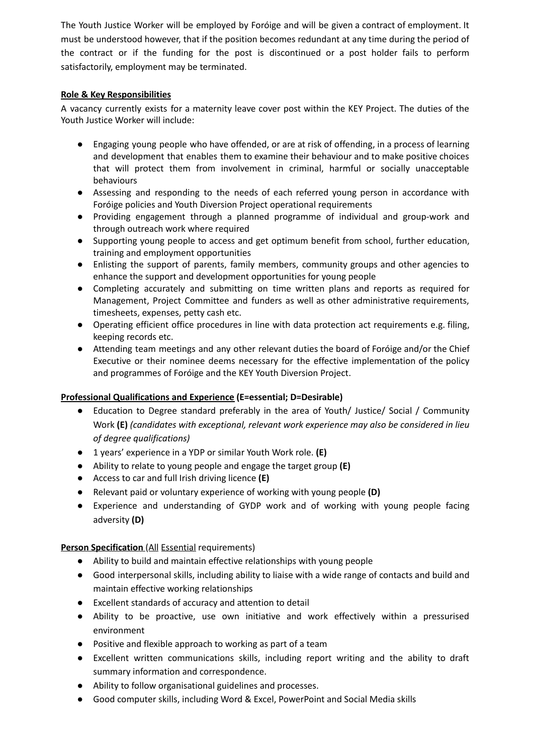The Youth Justice Worker will be employed by Foróige and will be given a contract of employment. It must be understood however, that if the position becomes redundant at any time during the period of the contract or if the funding for the post is discontinued or a post holder fails to perform satisfactorily, employment may be terminated.

## **Role & Key Responsibilities**

A vacancy currently exists for a maternity leave cover post within the KEY Project. The duties of the Youth Justice Worker will include:

- Engaging young people who have offended, or are at risk of offending, in a process of learning and development that enables them to examine their behaviour and to make positive choices that will protect them from involvement in criminal, harmful or socially unacceptable behaviours
- Assessing and responding to the needs of each referred young person in accordance with Foróige policies and Youth Diversion Project operational requirements
- Providing engagement through a planned programme of individual and group-work and through outreach work where required
- Supporting young people to access and get optimum benefit from school, further education, training and employment opportunities
- Enlisting the support of parents, family members, community groups and other agencies to enhance the support and development opportunities for young people
- Completing accurately and submitting on time written plans and reports as required for Management, Project Committee and funders as well as other administrative requirements, timesheets, expenses, petty cash etc.
- Operating efficient office procedures in line with data protection act requirements e.g. filing, keeping records etc.
- Attending team meetings and any other relevant duties the board of Foróige and/or the Chief Executive or their nominee deems necessary for the effective implementation of the policy and programmes of Foróige and the KEY Youth Diversion Project.

# **Professional Qualifications and Experience (E=essential; D=Desirable)**

- Education to Degree standard preferably in the area of Youth/ Justice/ Social / Community Work **(E)** *(candidates with exceptional, relevant work experience may also be considered in lieu of degree qualifications)*
- 1 years' experience in a YDP or similar Youth Work role. **(E)**
- Ability to relate to young people and engage the target group **(E)**
- Access to car and full Irish driving licence **(E)**
- Relevant paid or voluntary experience of working with young people **(D)**
- Experience and understanding of GYDP work and of working with young people facing adversity **(D)**

## **Person Specification** (All Essential requirements)

- Ability to build and maintain effective relationships with young people
- Good interpersonal skills, including ability to liaise with a wide range of contacts and build and maintain effective working relationships
- Excellent standards of accuracy and attention to detail
- Ability to be proactive, use own initiative and work effectively within a pressurised environment
- Positive and flexible approach to working as part of a team
- Excellent written communications skills, including report writing and the ability to draft summary information and correspondence.
- Ability to follow organisational guidelines and processes.
- Good computer skills, including Word & Excel, PowerPoint and Social Media skills